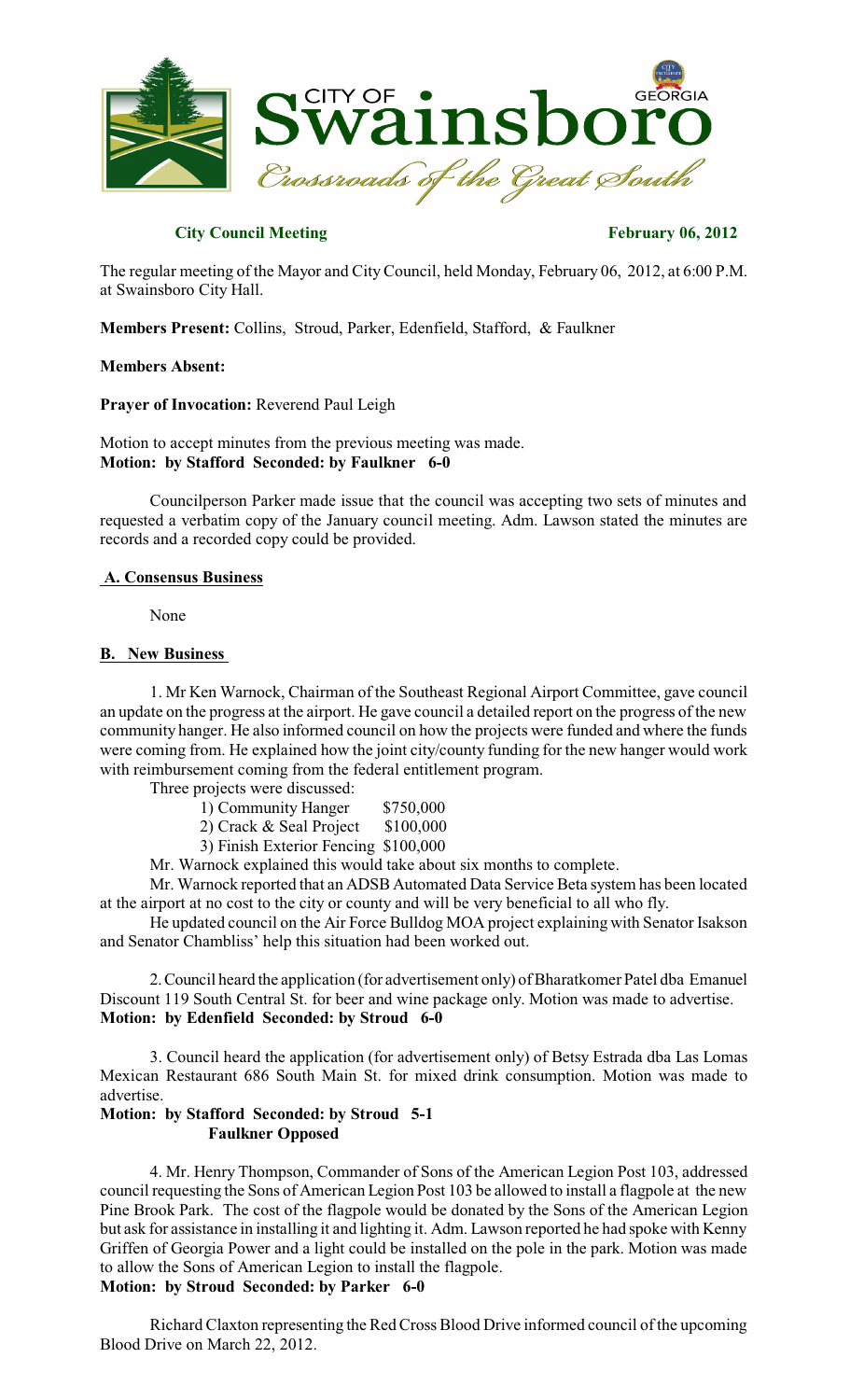

# **City Council Meeting February 06, 2012**

The regular meeting of the Mayor and City Council, held Monday, February 06, 2012, at 6:00 P.M. at Swainsboro City Hall.

**Members Present:** Collins, Stroud, Parker, Edenfield, Stafford, & Faulkner

#### **Members Absent:**

**Prayer of Invocation:** Reverend Paul Leigh

### Motion to accept minutes from the previous meeting was made. **Motion: by Stafford Seconded: by Faulkner 6-0**

Councilperson Parker made issue that the council was accepting two sets of minutes and requested a verbatim copy of the January council meeting. Adm. Lawson stated the minutes are records and a recorded copy could be provided.

#### **A. Consensus Business**

None

#### **B. New Business**

1. Mr Ken Warnock, Chairman of the Southeast Regional Airport Committee, gave council an update on the progress at the airport. He gave council a detailed report on the progress of the new community hanger. He also informed council on how the projects were funded and where the funds were coming from. He explained how the joint city/county funding for the new hanger would work with reimbursement coming from the federal entitlement program.

Three projects were discussed:

1) Community Hanger \$750,000

2) Crack & Seal Project \$100,000

3) Finish Exterior Fencing \$100,000

Mr. Warnock explained this would take about six months to complete.

Mr. Warnock reported that an ADSB Automated Data Service Beta system has been located at the airport at no cost to the city or county and will be very beneficial to all who fly.

He updated council on the Air Force Bulldog MOA project explaining with Senator Isakson and Senator Chambliss' help this situation had been worked out.

2.Council heard the application (for advertisement only) of Bharatkomer Patel dba Emanuel Discount 119 South Central St. for beer and wine package only. Motion was made to advertise. **Motion: by Edenfield Seconded: by Stroud 6-0**

3. Council heard the application (for advertisement only) of Betsy Estrada dba Las Lomas Mexican Restaurant 686 South Main St. for mixed drink consumption. Motion was made to advertise.

# **Motion: by Stafford Seconded: by Stroud 5-1 Faulkner Opposed**

4. Mr. Henry Thompson, Commander of Sons of the American Legion Post 103, addressed council requesting the Sons of American Legion Post 103 be allowed to install a flagpole at the new Pine Brook Park. The cost of the flagpole would be donated by the Sons of the American Legion but ask for assistance in installing it and lighting it. Adm. Lawson reported he had spoke with Kenny Griffen of Georgia Power and a light could be installed on the pole in the park. Motion was made to allow the Sons of American Legion to install the flagpole. **Motion: by Stroud Seconded: by Parker 6-0**

Richard Claxton representing the Red Cross Blood Drive informed council of the upcoming Blood Drive on March 22, 2012.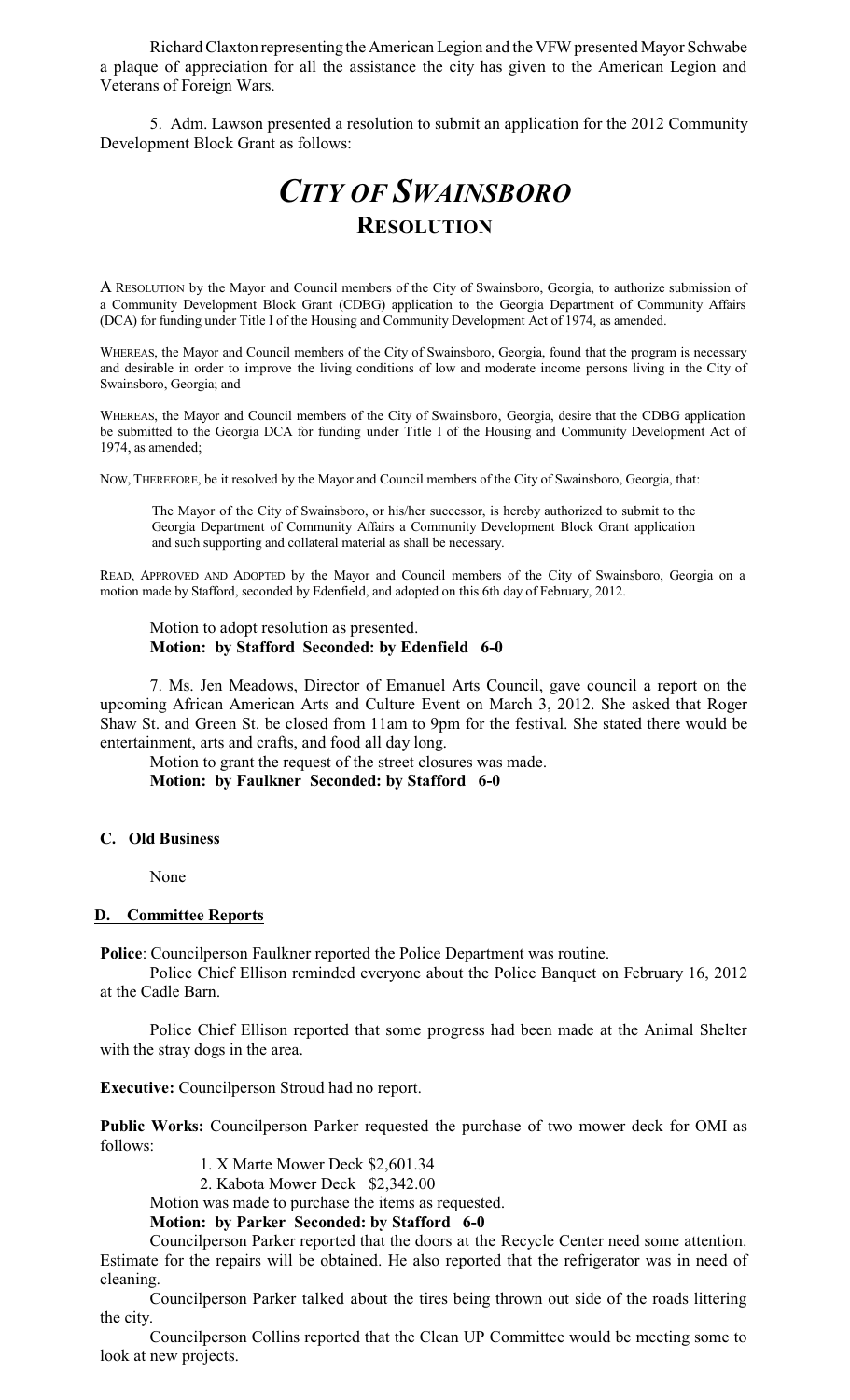Richard Claxton representing the American Legion and the VFW presented Mayor Schwabe a plaque of appreciation for all the assistance the city has given to the American Legion and Veterans of Foreign Wars.

5. Adm. Lawson presented a resolution to submit an application for the 2012 Community Development Block Grant as follows:

# *CITY OF SWAINSBORO* **RESOLUTION**

A RESOLUTION by the Mayor and Council members of the City of Swainsboro, Georgia, to authorize submission of a Community Development Block Grant (CDBG) application to the Georgia Department of Community Affairs (DCA) for funding under Title I of the Housing and Community Development Act of 1974, as amended.

WHEREAS, the Mayor and Council members of the City of Swainsboro, Georgia, found that the program is necessary and desirable in order to improve the living conditions of low and moderate income persons living in the City of Swainsboro, Georgia; and

WHEREAS, the Mayor and Council members of the City of Swainsboro, Georgia, desire that the CDBG application be submitted to the Georgia DCA for funding under Title I of the Housing and Community Development Act of 1974, as amended;

NOW, THEREFORE, be it resolved by the Mayor and Council members of the City of Swainsboro, Georgia, that:

The Mayor of the City of Swainsboro, or his/her successor, is hereby authorized to submit to the Georgia Department of Community Affairs a Community Development Block Grant application and such supporting and collateral material as shall be necessary.

READ, APPROVED AND ADOPTED by the Mayor and Council members of the City of Swainsboro, Georgia on a motion made by Stafford, seconded by Edenfield, and adopted on this 6th day of February, 2012.

Motion to adopt resolution as presented. **Motion: by Stafford Seconded: by Edenfield 6-0**

7. Ms. Jen Meadows, Director of Emanuel Arts Council, gave council a report on the upcoming African American Arts and Culture Event on March 3, 2012. She asked that Roger Shaw St. and Green St. be closed from 11am to 9pm for the festival. She stated there would be entertainment, arts and crafts, and food all day long.

Motion to grant the request of the street closures was made. **Motion: by Faulkner Seconded: by Stafford 6-0**

#### **C. Old Business**

None

#### **D. Committee Reports**

**Police**: Councilperson Faulkner reported the Police Department was routine.

Police Chief Ellison reminded everyone about the Police Banquet on February 16, 2012 at the Cadle Barn.

Police Chief Ellison reported that some progress had been made at the Animal Shelter with the stray dogs in the area.

**Executive:** Councilperson Stroud had no report.

**Public Works:** Councilperson Parker requested the purchase of two mower deck for OMI as follows:

1. X Marte Mower Deck \$2,601.34

2. Kabota Mower Deck \$2,342.00

Motion was made to purchase the items as requested.

**Motion: by Parker Seconded: by Stafford 6-0**

Councilperson Parker reported that the doors at the Recycle Center need some attention. Estimate for the repairs will be obtained. He also reported that the refrigerator was in need of cleaning.

Councilperson Parker talked about the tires being thrown out side of the roads littering the city.

Councilperson Collins reported that the Clean UP Committee would be meeting some to look at new projects.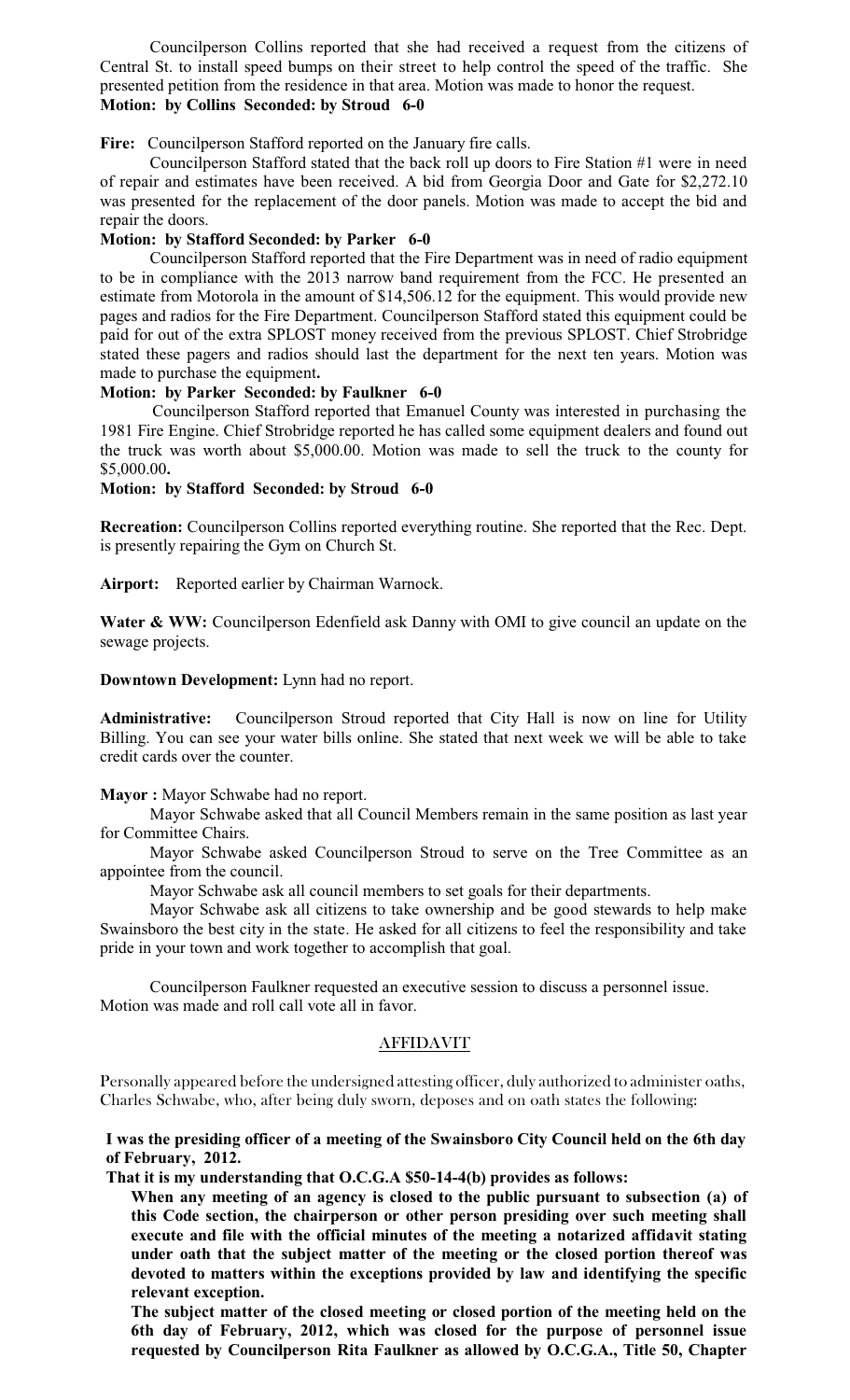Councilperson Collins reported that she had received a request from the citizens of Central St. to install speed bumps on their street to help control the speed of the traffic. She presented petition from the residence in that area. Motion was made to honor the request. **Motion: by Collins Seconded: by Stroud 6-0**

**Fire:** Councilperson Stafford reported on the January fire calls.

Councilperson Stafford stated that the back roll up doors to Fire Station #1 were in need of repair and estimates have been received. A bid from Georgia Door and Gate for \$2,272.10 was presented for the replacement of the door panels. Motion was made to accept the bid and repair the doors.

# **Motion: by Stafford Seconded: by Parker 6-0**

Councilperson Stafford reported that the Fire Department was in need of radio equipment to be in compliance with the 2013 narrow band requirement from the FCC. He presented an estimate from Motorola in the amount of \$14,506.12 for the equipment. This would provide new pages and radios for the Fire Department. Councilperson Stafford stated this equipment could be paid for out of the extra SPLOST money received from the previous SPLOST. Chief Strobridge stated these pagers and radios should last the department for the next ten years. Motion was made to purchase the equipment**.**

#### **Motion: by Parker Seconded: by Faulkner 6-0**

Councilperson Stafford reported that Emanuel County was interested in purchasing the 1981 Fire Engine. Chief Strobridge reported he has called some equipment dealers and found out the truck was worth about \$5,000.00. Motion was made to sell the truck to the county for \$5,000.00**.**

#### **Motion: by Stafford Seconded: by Stroud 6-0**

**Recreation:** Councilperson Collins reported everything routine. She reported that the Rec. Dept. is presently repairing the Gym on Church St.

**Airport:** Reported earlier by Chairman Warnock.

**Water & WW:** Councilperson Edenfield ask Danny with OMI to give council an update on the sewage projects.

#### **Downtown Development:** Lynn had no report.

**Administrative:** Councilperson Stroud reported that City Hall is now on line for Utility Billing. You can see your water bills online. She stated that next week we will be able to take credit cards over the counter.

**Mayor :** Mayor Schwabe had no report.

Mayor Schwabe asked that all Council Members remain in the same position as last year for Committee Chairs.

Mayor Schwabe asked Councilperson Stroud to serve on the Tree Committee as an appointee from the council.

Mayor Schwabe ask all council members to set goals for their departments.

Mayor Schwabe ask all citizens to take ownership and be good stewards to help make Swainsboro the best city in the state. He asked for all citizens to feel the responsibility and take pride in your town and work together to accomplish that goal.

Councilperson Faulkner requested an executive session to discuss a personnel issue. Motion was made and roll call vote all in favor.

# **AFFIDAVIT**

Personally appeared before the undersigned attesting officer, duly authorized to administer oaths, Charles Schwabe, who, after being duly sworn, deposes and on oath states the following:

# **I was the presiding officer of a meeting of the Swainsboro City Council held on the 6th day of February, 2012.**

**That it is my understanding that O.C.G.A \$50-14-4(b) provides as follows:**

**When any meeting of an agency is closed to the public pursuant to subsection (a) of this Code section, the chairperson or other person presiding over such meeting shall execute and file with the official minutes of the meeting a notarized affidavit stating under oath that the subject matter of the meeting or the closed portion thereof was devoted to matters within the exceptions provided by law and identifying the specific relevant exception.**

**The subject matter of the closed meeting or closed portion of the meeting held on the 6th day of February, 2012, which was closed for the purpose of personnel issue requested by Councilperson Rita Faulkner as allowed by O.C.G.A., Title 50, Chapter**